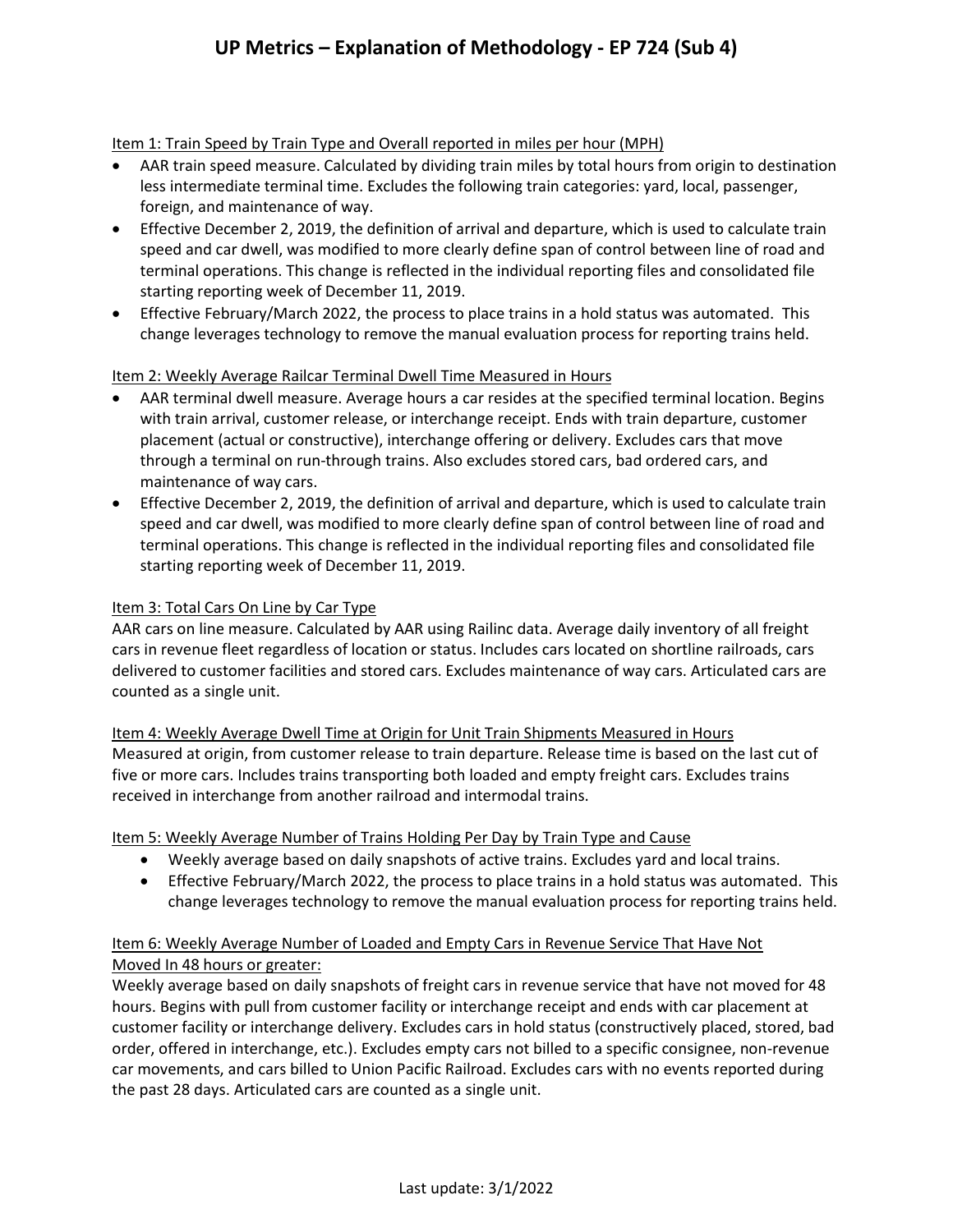## Item 1: Train Speed by Train Type and Overall reported in miles per hour (MPH)

- AAR train speed measure. Calculated by dividing train miles by total hours from origin to destination less intermediate terminal time. Excludes the following train categories: yard, local, passenger, foreign, and maintenance of way.
- Effective December 2, 2019, the definition of arrival and departure, which is used to calculate train speed and car dwell, was modified to more clearly define span of control between line of road and terminal operations. This change is reflected in the individual reporting files and consolidated file starting reporting week of December 11, 2019.
- Effective February/March 2022, the process to place trains in a hold status was automated. This change leverages technology to remove the manual evaluation process for reporting trains held.

## Item 2: Weekly Average Railcar Terminal Dwell Time Measured in Hours

- AAR terminal dwell measure. Average hours a car resides at the specified terminal location. Begins with train arrival, customer release, or interchange receipt. Ends with train departure, customer placement (actual or constructive), interchange offering or delivery. Excludes cars that move through a terminal on run-through trains. Also excludes stored cars, bad ordered cars, and maintenance of way cars.
- Effective December 2, 2019, the definition of arrival and departure, which is used to calculate train speed and car dwell, was modified to more clearly define span of control between line of road and terminal operations. This change is reflected in the individual reporting files and consolidated file starting reporting week of December 11, 2019.

## Item 3: Total Cars On Line by Car Type

AAR cars on line measure. Calculated by AAR using Railinc data. Average daily inventory of all freight cars in revenue fleet regardless of location or status. Includes cars located on shortline railroads, cars delivered to customer facilities and stored cars. Excludes maintenance of way cars. Articulated cars are counted as a single unit.

Item 4: Weekly Average Dwell Time at Origin for Unit Train Shipments Measured in Hours Measured at origin, from customer release to train departure. Release time is based on the last cut of five or more cars. Includes trains transporting both loaded and empty freight cars. Excludes trains received in interchange from another railroad and intermodal trains.

## Item 5: Weekly Average Number of Trains Holding Per Day by Train Type and Cause

- Weekly average based on daily snapshots of active trains. Excludes yard and local trains.
- Effective February/March 2022, the process to place trains in a hold status was automated. This change leverages technology to remove the manual evaluation process for reporting trains held.

# Item 6: Weekly Average Number of Loaded and Empty Cars in Revenue Service That Have Not Moved In 48 hours or greater:

Weekly average based on daily snapshots of freight cars in revenue service that have not moved for 48 hours. Begins with pull from customer facility or interchange receipt and ends with car placement at customer facility or interchange delivery. Excludes cars in hold status (constructively placed, stored, bad order, offered in interchange, etc.). Excludes empty cars not billed to a specific consignee, non-revenue car movements, and cars billed to Union Pacific Railroad. Excludes cars with no events reported during the past 28 days. Articulated cars are counted as a single unit.